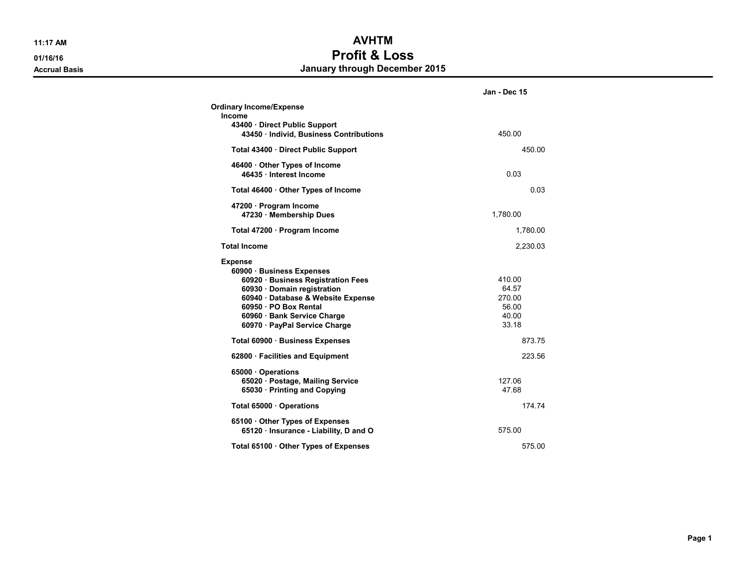## 11:17 AM **AVHTM** 01/16/16 **Profit & Loss** Accrual Basis **Accrual Basis** Accrual Basis **January through December 2015**

|                                                                         | Jan - Dec 15 |
|-------------------------------------------------------------------------|--------------|
| <b>Ordinary Income/Expense</b>                                          |              |
| Income<br>43400 Direct Public Support                                   |              |
| 43450 · Individ, Business Contributions                                 | 450.00       |
| Total 43400 · Direct Public Support                                     | 450.00       |
| 46400 Other Types of Income<br>46435 · Interest Income                  | 0.03         |
| Total 46400 · Other Types of Income                                     | 0.03         |
| 47200 · Program Income                                                  |              |
| 47230 Membership Dues                                                   | 1,780.00     |
| Total 47200 · Program Income                                            | 1,780.00     |
| <b>Total Income</b>                                                     | 2,230.03     |
| <b>Expense</b>                                                          |              |
| 60900 · Business Expenses                                               |              |
| 60920 · Business Registration Fees                                      | 410.00       |
| 60930 · Domain registration                                             | 64.57        |
| 60940 · Database & Website Expense                                      | 270.00       |
| 60950 · PO Box Rental                                                   | 56.00        |
| 60960 · Bank Service Charge                                             | 40.00        |
| 60970 · PayPal Service Charge                                           | 33.18        |
| Total 60900 · Business Expenses                                         | 873.75       |
| 62800 · Facilities and Equipment                                        | 223.56       |
| 65000 Operations                                                        |              |
| 65020 · Postage, Mailing Service                                        | 127.06       |
| 65030 · Printing and Copying                                            | 47.68        |
| Total 65000 · Operations                                                | 174.74       |
| 65100 Other Types of Expenses<br>65120 · Insurance - Liability, D and O | 575.00       |
| Total 65100 · Other Types of Expenses                                   | 575.00       |